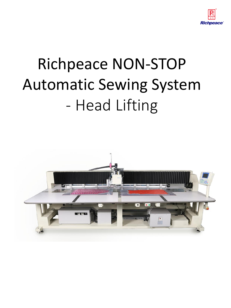

# Richpeace NON-STOP Automatic Sewing System - Head Lifting

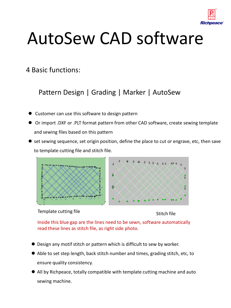

# AutoSew CAD software

4 Basic functions:

Pattern Design | Grading | Marker | AutoSew

- Customer can use this software to design pattern
- Or import .DXF or .PLT format pattern from other CAD software, create sewing template and sewing files based on this pattern
- set sewing sequence, set origin position, define the place to cut or engrave, etc, then save to template cutting file and stitch file.



Template cutting file Stitch file

Inside this blue gap are the lines need to be sewn, software automatically read these lines as stitch file, as right side photo.

- Design any motif stitch or pattern which is difficult to sew by worker.
- Able to set step length, back stitch number and times, grading stitch, etc, to ensure quality consistency.
- All by Richpeace, totally compatible with template cutting machine and auto sewing machine.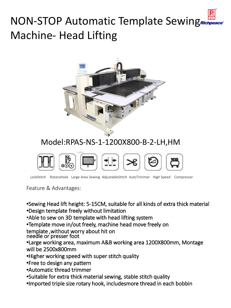### NON-STOP Automatic Template Sewing Machine- Head Lifting



#### Model:RPAS-NS-1-1200X800-B-2-LH,HM



LockStitch RotaryHook Large Area Sewing AdjustableStitch AutoTrimmer High Speed Compressor

Feature & Advantages:

**•**Sewing Head lift height: 5-15CM, suitable for all kinds of extra thick material

**•**Design template freely without limitation

•Able to sew on 3D template with head lifting system

**•**Template move in/out freely, machine head move freely on

template ,without worry about hit on

needle or presser foot

**•**Large working area, maximum A&B working area 1200X800mm, Montage will be 2500x800mm

- **•**Higher working speed with super stitch quality
- **•**Free to design any pattern
- **•**Automatic thread trimmer
- **•**Suitable for extra thick material sewing, stable stitch quality
- **•**Imported triple size rotary hook, includesmore thread in each bobbin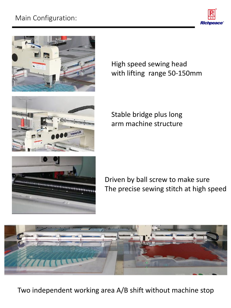### Main Configuration:









High speed sewing head with lifting range 50-150mm

Stable bridge plus long arm machine structure

Driven by ball screw to make sure The precise sewing stitch at high speed



Two independent working area A/B shift without machine stop